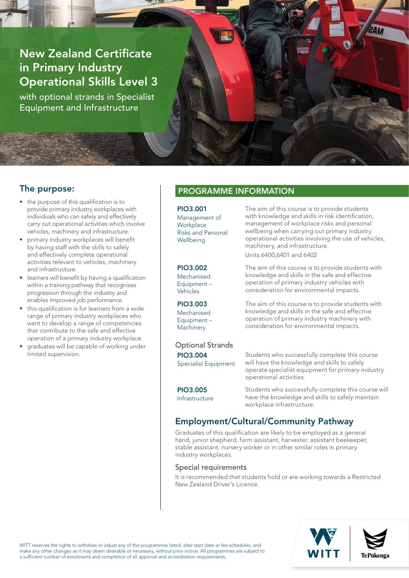# New Zealand Certificate in Primary Industry Operational Skills Level 3

with optional strands in Specialist Equipment and Infrastructure

## The purpose:

- the purpose of this qualification is to provide primary industry workplaces with individuals who can safely and effectively carry out operational activities which involve vehicles, machinery and infrastructure.
- primary industry workplaces will benefit by having staff with the skills to safely and effectively complete operational activities relevant to vehicles, machinery and infrastructure.
- learners will benefit by having a qualification within a training pathway that recognises progression through the industry and enables improved job performance.
- this qualification is for learners from a wide range of primary industry workplaces who want to develop a range of competencies that contribute to the safe and effective operation of a primary industry workplace.
- graduates will be capable of working under limited supervision.

### PROGRAMME INFORMATION

PIO3.001 Management of **Workplace** Risks and Personal Wellbeing

PIO3.002

**Mechanised** Equipment – Vehicles

PIO3.003 Mechanised Equipment – **Machinery** 

The aim of this course is to provide students with knowledge and skills in risk identification, management of workplace risks and personal wellbeing when carrying out primary industry operational activities involving the use of vehicles, machinery, and infrastructure. Units 6400,6401 and 6402

The aim of this course is to provide students with knowledge and skills in the safe and effective operation of primary industry vehicles with consideration for environmental impacts.

The aim of this course is to provide students with knowledge and skills in the safe and effective operation of primary industry machinery with consideration for environmental impacts.

Optional Strands PIO3.004 Specialist Equipment

Students who successfully complete this course will have the knowledge and skills to safely operate specialist equipment for primary industry operational activities.

#### PIO3.005

Infrastructure

Students who successfully complete this course will have the knowledge and skills to safely maintain workplace infrastructure.

### Employment/Cultural/Community Pathway

Graduates of this qualification are likely to be employed as a general hand, junior shepherd, farm assistant, harvester, assistant beekeeper, stable assistant, nursery worker or in other similar roles in primary industry workplaces.

#### Special requirements

It is recommended that students hold or are working towards a Restricted New Zealand Driver's Licence.





WITT reserves the rights to withdraw or adjust any of the programmes listed, alter start date or fee schedules, and make any other changes as it may deem desirable or necessary, without prior notice. All programmes are subject to a sufficient number of enrolments and completion of all approval and accreditation requirements.